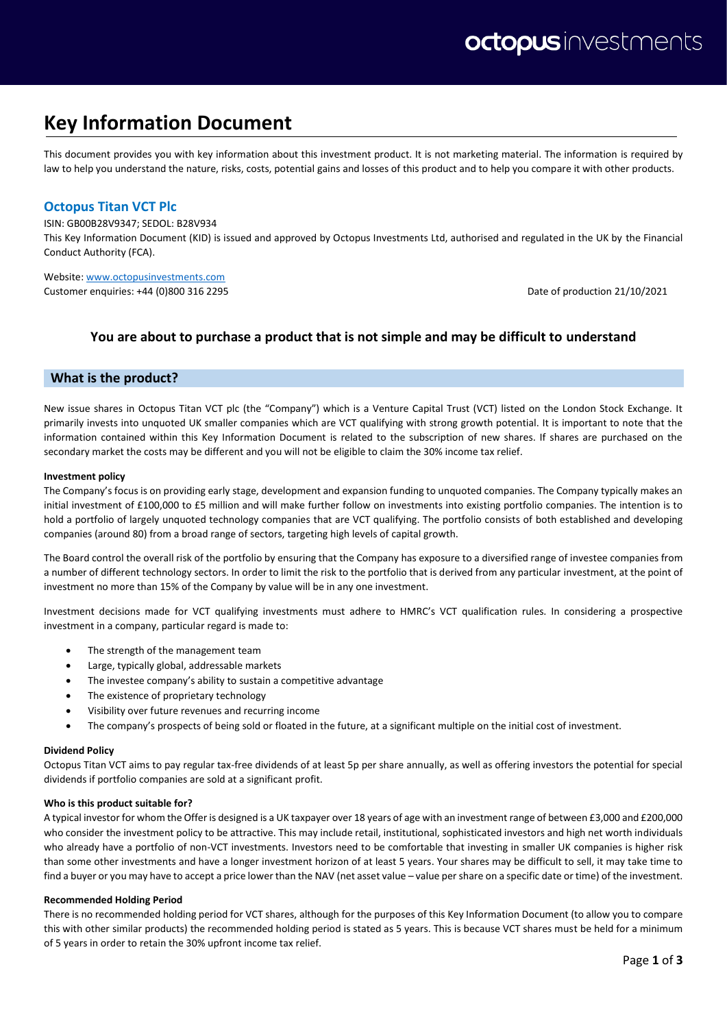# **Key Information Document**

This document provides you with key information about this investment product. It is not marketing material. The information is required by law to help you understand the nature, risks, costs, potential gains and losses of this product and to help you compare it with other products.

# **Octopus Titan VCT Plc**

ISIN: GB00B28V9347; SEDOL: B28V934

This Key Information Document (KID) is issued and approved by Octopus Investments Ltd, authorised and regulated in the UK by the Financial Conduct Authority (FCA).

Website[: www.octopusinvestments.com](http://www.octopusinvestments.com/) Customer enquiries: +44 (0)800 316 2295 Date of production 21/10/2021

# **You are about to purchase a product that is not simple and may be difficult to understand**

## **What is the product?**

New issue shares in Octopus Titan VCT plc (the "Company") which is a Venture Capital Trust (VCT) listed on the London Stock Exchange. It primarily invests into unquoted UK smaller companies which are VCT qualifying with strong growth potential. It is important to note that the information contained within this Key Information Document is related to the subscription of new shares. If shares are purchased on the secondary market the costs may be different and you will not be eligible to claim the 30% income tax relief.

#### **Investment policy**

The Company's focus is on providing early stage, development and expansion funding to unquoted companies. The Company typically makes an initial investment of £100,000 to £5 million and will make further follow on investments into existing portfolio companies. The intention is to hold a portfolio of largely unquoted technology companies that are VCT qualifying. The portfolio consists of both established and developing companies (around 80) from a broad range of sectors, targeting high levels of capital growth.

The Board control the overall risk of the portfolio by ensuring that the Company has exposure to a diversified range of investee companies from a number of different technology sectors. In order to limit the risk to the portfolio that is derived from any particular investment, at the point of investment no more than 15% of the Company by value will be in any one investment.

Investment decisions made for VCT qualifying investments must adhere to HMRC's VCT qualification rules. In considering a prospective investment in a company, particular regard is made to:

- The strength of the management team
- Large, typically global, addressable markets
- The investee company's ability to sustain a competitive advantage
- The existence of proprietary technology
- Visibility over future revenues and recurring income
- The company's prospects of being sold or floated in the future, at a significant multiple on the initial cost of investment.

#### **Dividend Policy**

Octopus Titan VCT aims to pay regular tax-free dividends of at least 5p per share annually, as well as offering investors the potential for special dividends if portfolio companies are sold at a significant profit.

#### **Who is this product suitable for?**

A typical investor for whom the Offer is designed is a UK taxpayer over 18 years of age with an investment range of between £3,000 and £200,000 who consider the investment policy to be attractive. This may include retail, institutional, sophisticated investors and high net worth individuals who already have a portfolio of non-VCT investments. Investors need to be comfortable that investing in smaller UK companies is higher risk than some other investments and have a longer investment horizon of at least 5 years. Your shares may be difficult to sell, it may take time to find a buyer or you may have to accept a price lower than the NAV (net asset value – value per share on a specific date or time) of the investment.

#### **Recommended Holding Period**

There is no recommended holding period for VCT shares, although for the purposes of this Key Information Document (to allow you to compare this with other similar products) the recommended holding period is stated as 5 years. This is because VCT shares must be held for a minimum of 5 years in order to retain the 30% upfront income tax relief.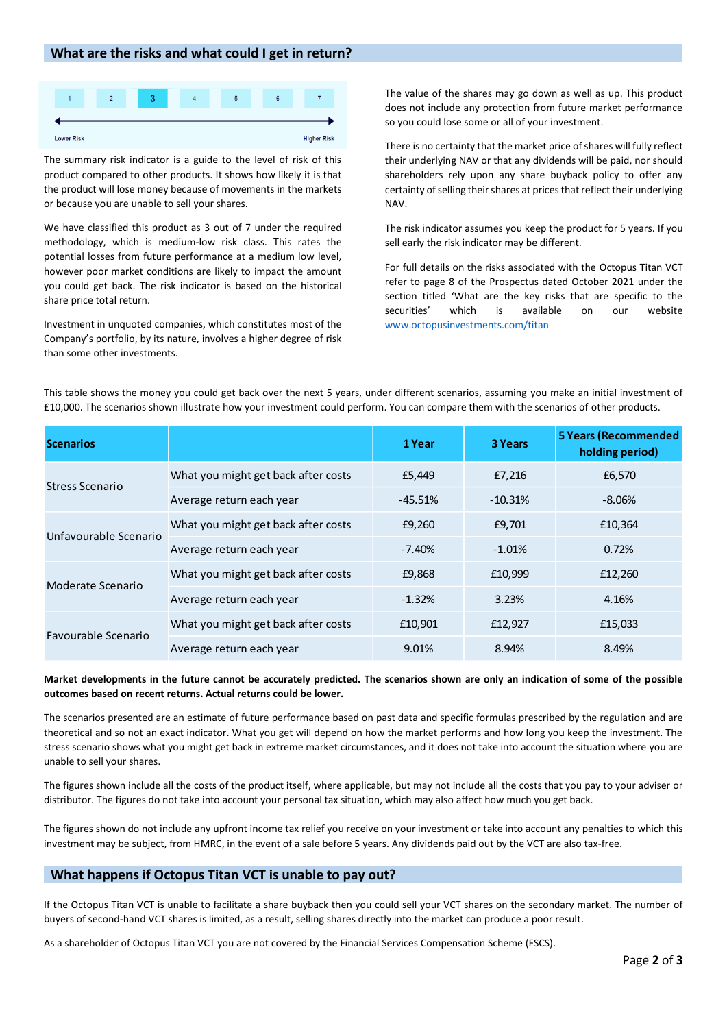## **What are the risks and what could I get in return?**



The summary risk indicator is a guide to the level of risk of this product compared to other products. It shows how likely it is that the product will lose money because of movements in the markets or because you are unable to sell your shares.

We have classified this product as 3 out of 7 under the required methodology, which is medium-low risk class. This rates the potential losses from future performance at a medium low level, however poor market conditions are likely to impact the amount you could get back. The risk indicator is based on the historical share price total return.

Investment in unquoted companies, which constitutes most of the Company's portfolio, by its nature, involves a higher degree of risk than some other investments.

The value of the shares may go down as well as up. This product does not include any protection from future market performance so you could lose some or all of your investment.

There is no certainty that the market price of shares will fully reflect their underlying NAV or that any dividends will be paid, nor should shareholders rely upon any share buyback policy to offer any certainty of selling their shares at prices that reflect their underlying NAV.

The risk indicator assumes you keep the product for 5 years. If you sell early the risk indicator may be different.

For full details on the risks associated with the Octopus Titan VCT refer to page 8 of the Prospectus dated October 2021 under the section titled 'What are the key risks that are specific to the securities' which is available on our website [www.octopusinvestments.com/titan](http://www.octopusinvestments.com/titan)

| <b>Scenarios</b>                                                                                                                                                                                                                                                                                                                                                                                                                                                                                                                                                                                                                                                                   |                                     | 1 Year    | 3 Years   | <b>5 Years (Recommended</b><br>holding period) |  |  |
|------------------------------------------------------------------------------------------------------------------------------------------------------------------------------------------------------------------------------------------------------------------------------------------------------------------------------------------------------------------------------------------------------------------------------------------------------------------------------------------------------------------------------------------------------------------------------------------------------------------------------------------------------------------------------------|-------------------------------------|-----------|-----------|------------------------------------------------|--|--|
| <b>Stress Scenario</b>                                                                                                                                                                                                                                                                                                                                                                                                                                                                                                                                                                                                                                                             | What you might get back after costs | £5,449    | £7,216    | £6,570                                         |  |  |
|                                                                                                                                                                                                                                                                                                                                                                                                                                                                                                                                                                                                                                                                                    | Average return each year            | $-45.51%$ | $-10.31%$ | $-8.06%$                                       |  |  |
| Unfavourable Scenario                                                                                                                                                                                                                                                                                                                                                                                                                                                                                                                                                                                                                                                              | What you might get back after costs | £9,260    | £9,701    | £10,364                                        |  |  |
|                                                                                                                                                                                                                                                                                                                                                                                                                                                                                                                                                                                                                                                                                    | Average return each year            | $-7.40%$  | $-1.01%$  | 0.72%                                          |  |  |
| Moderate Scenario                                                                                                                                                                                                                                                                                                                                                                                                                                                                                                                                                                                                                                                                  | What you might get back after costs | £9,868    | £10,999   | £12,260                                        |  |  |
|                                                                                                                                                                                                                                                                                                                                                                                                                                                                                                                                                                                                                                                                                    | Average return each year            | $-1.32%$  | 3.23%     | 4.16%                                          |  |  |
| Favourable Scenario                                                                                                                                                                                                                                                                                                                                                                                                                                                                                                                                                                                                                                                                | What you might get back after costs | £10,901   | £12,927   | £15,033                                        |  |  |
|                                                                                                                                                                                                                                                                                                                                                                                                                                                                                                                                                                                                                                                                                    | Average return each year            | 9.01%     | 8.94%     | 8.49%                                          |  |  |
| Market developments in the future cannot be accurately predicted. The scenarios shown are only an indication of some of the possible<br>outcomes based on recent returns. Actual returns could be lower.<br>The scenarios presented are an estimate of future performance based on past data and specific formulas prescribed by the regulation and are<br>theoretical and so not an exact indicator. What you get will depend on how the market performs and how long you keep the investment. The<br>stress scenario shows what you might get back in extreme market circumstances, and it does not take into account the situation where you are<br>unable to sell your shares. |                                     |           |           |                                                |  |  |
| The figures shown include all the costs of the product itself, where applicable, but may not include all the costs that you pay to your adviser or<br>distributor. The figures do not take into account your personal tax situation, which may also affect how much you get back.<br>The figures shown do not include any upfront income tax relief you receive on your investment or take into account any penalties to which this<br>investment may be subject, from HMRC, in the event of a sale before 5 years. Any dividends paid out by the VCT are also tax-free.                                                                                                           |                                     |           |           |                                                |  |  |
| What happens if Octopus Titan VCT is unable to pay out?                                                                                                                                                                                                                                                                                                                                                                                                                                                                                                                                                                                                                            |                                     |           |           |                                                |  |  |
| If the Octopus Titan VCT is unable to facilitate a share buyback then you could sell your VCT shares on the secondary market. The number of<br>buyers of second-hand VCT shares is limited, as a result, selling shares directly into the market can produce a poor result.<br>As a shareholder of Octopus Titan VCT you are not covered by the Financial Services Compensation Scheme (FSCS).                                                                                                                                                                                                                                                                                     |                                     |           |           |                                                |  |  |

This table shows the money you could get back over the next 5 years, under different scenarios, assuming you make an initial investment of £10,000. The scenarios shown illustrate how your investment could perform. You can compare them with the scenarios of other products.

## **Market developments in the future cannot be accurately predicted. The scenarios shown are only an indication of some of the possible outcomes based on recent returns. Actual returns could be lower.**

## **What happens if Octopus Titan VCT is unable to pay out?**